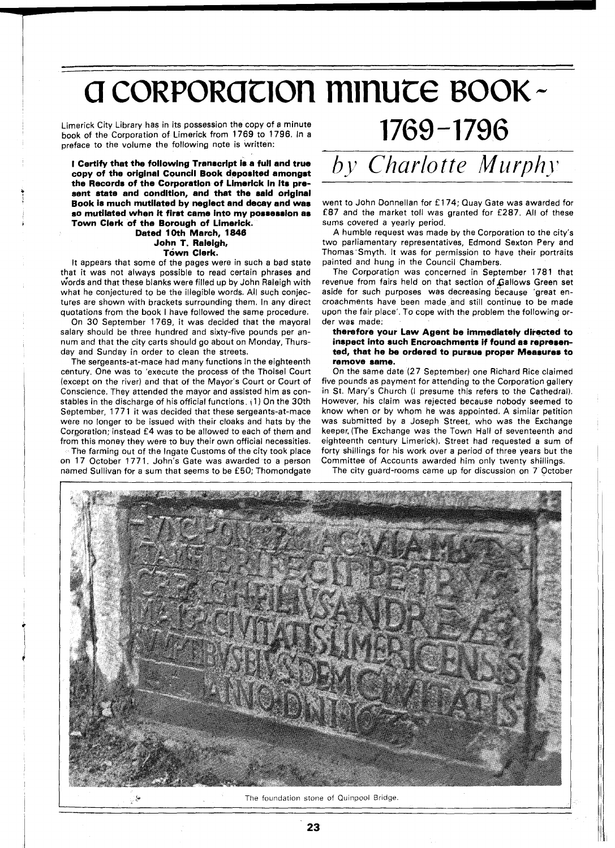# a corporation minute BOOK-

Limerick City Library has in its possession the copy of a minute book of the Corporation of Limerick from 1769 to 1796. In a preface to the volume the following note is written:

**I Certify that the following Transcript is a full and true copy of the original Council Book deposited amongst the Records of the Corporation of Limerick In its present state and condition, and that the said original Book is much mutilated by neglect and decay and was so mutilated when it first came into my possession as Town Clerk of the Borough of Limerick.** 

#### **Dated 10th March, 1846 John T. Raleigh, Town Clerk.**

It appears that some of the pages were in such a bad state that it was not always possible to read certain phrases and words and that these blanks were filled up by John Raleigh with what he conjectured to be the illegible words. All such conjectures are shown with brackets surrounding them. In any direct quotations from the book I have followed the same procedure.

On 30 September 1769, it was decided that the mayoral salary should be three hundred and sixty-five pounds per annum and that the city carts should go about on Monday, Thursday and Sunday in order to clean the streets.

The sergeants-at-mace had many functions in the eighteenth century. One was to 'execute the process of the Tholsel Court (except on the river) and that of the Mayor's Court or Court of Conscience. They attended the mayor and assisted him as constables in the discharge of his official functions. {l) On the 30th September, 1771 it was decided that these sergeants-at-mace were no longer to be issued with their cloaks and hats by the Corporation; instead £4 was to be allowed to each of them and from this money they were to buy their own official necessities.

The farming out of the lngate Customs of the city took place on 17 October 1771. John's Gate was awarded to a person named Sullivan for a sum that seems to be £50; Thomondgate

## by *Charlotte Murph* .,

 $1769 - 1796$ 

went to John Donnellan for £174; Quay Gate was awarded for £87 and the market toll was granted for £287. All of these sums covered a yearly period.

A humble request was made by the Corporation to the city's two parliamentary representatives, Edmond Sexton Pery and Thomas<sup>-</sup>Smyth. It was for permission to have their portraits painted and hung in the Council Chambers.

The Corporation was concerned in September 1781 that revenue from fairs held on that section of Gallows Green set aside for such purposes was decreasing because 'great encroachments have been made and still continue to be made upon the fair place'. To cope with the problem the following order was made:

#### **therefore your Law Agent be immediately directed to inspect into such Encroachments if found as represented, that he be ordered to pursue proper Measures to remove same.**

On the same date (27 September) one Richard Rice claimed five pounds as payment for attending to the Corporation gallery in St. Mary's Church (I presume this refers to the Cathedral). However, his claim was rejected because nobody seemed to know when or by whom he was appointed. A similar petition was submitted by a Joseph Street, who was the Exchange keeper, (The Exchange was the Town Hall of seventeenth and eighteenth century Limerick). Street had requested a sum of forty shillings for his work over a period of three years but the Committee of Accounts awarded him only twenty shillings.

The city guard-rooms came up for discussion on 7 October



**EXECUTE:** The foundation stone of Quinpool Bridge